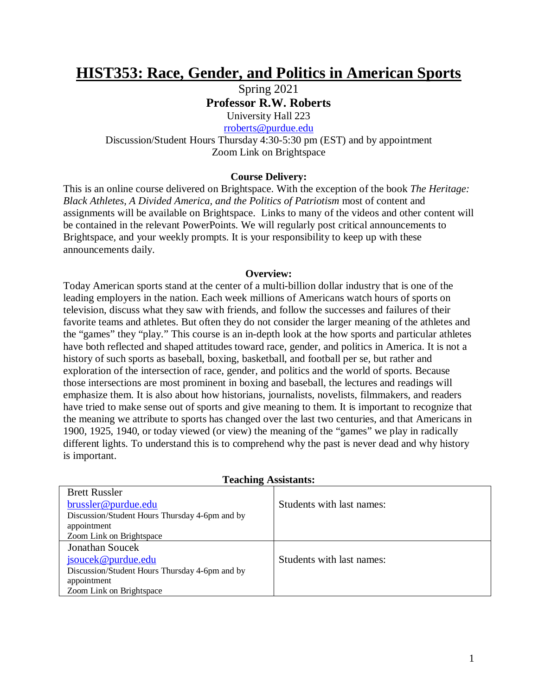# **HIST353: Race, Gender, and Politics in American Sports**

Spring 2021 **Professor R.W. Roberts**

University Hall 223 [rroberts@purdue.edu](mailto:rroberts@purdue.edu)

Discussion/Student Hours Thursday 4:30-5:30 pm (EST) and by appointment Zoom Link on Brightspace

## **Course Delivery:**

This is an online course delivered on Brightspace. With the exception of the book *The Heritage: Black Athletes, A Divided America, and the Politics of Patriotism* most of content and assignments will be available on Brightspace. Links to many of the videos and other content will be contained in the relevant PowerPoints. We will regularly post critical announcements to Brightspace, and your weekly prompts. It is your responsibility to keep up with these announcements daily.

#### **Overview:**

Today American sports stand at the center of a multi-billion dollar industry that is one of the leading employers in the nation. Each week millions of Americans watch hours of sports on television, discuss what they saw with friends, and follow the successes and failures of their favorite teams and athletes. But often they do not consider the larger meaning of the athletes and the "games" they "play." This course is an in-depth look at the how sports and particular athletes have both reflected and shaped attitudes toward race, gender, and politics in America. It is not a history of such sports as baseball, boxing, basketball, and football per se, but rather and exploration of the intersection of race, gender, and politics and the world of sports. Because those intersections are most prominent in boxing and baseball, the lectures and readings will emphasize them. It is also about how historians, journalists, novelists, filmmakers, and readers have tried to make sense out of sports and give meaning to them. It is important to recognize that the meaning we attribute to sports has changed over the last two centuries, and that Americans in 1900, 1925, 1940, or today viewed (or view) the meaning of the "games" we play in radically different lights. To understand this is to comprehend why the past is never dead and why history is important.

| reaching <i>resolutation</i>                   |                           |  |  |
|------------------------------------------------|---------------------------|--|--|
| <b>Brett Russler</b>                           |                           |  |  |
| brussler@purdue.edu                            | Students with last names: |  |  |
| Discussion/Student Hours Thursday 4-6pm and by |                           |  |  |
| appointment                                    |                           |  |  |
| Zoom Link on Brightspace                       |                           |  |  |
| <b>Jonathan Soucek</b>                         |                           |  |  |
| jsoucek@purdue.edu                             | Students with last names: |  |  |
| Discussion/Student Hours Thursday 4-6pm and by |                           |  |  |
| appointment                                    |                           |  |  |
| Zoom Link on Brightspace                       |                           |  |  |

## **Teaching Assistants:**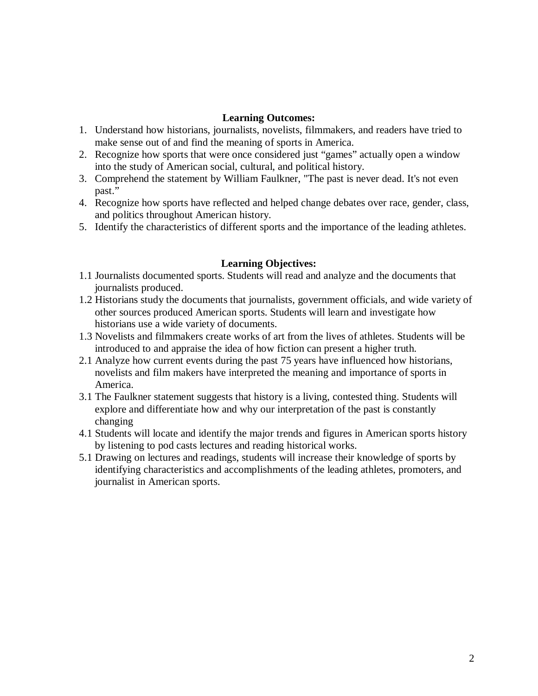## **Learning Outcomes:**

- 1. Understand how historians, journalists, novelists, filmmakers, and readers have tried to make sense out of and find the meaning of sports in America.
- 2. Recognize how sports that were once considered just "games" actually open a window into the study of American social, cultural, and political history.
- 3. Comprehend the statement by William Faulkner, "The past is never dead. It's not even past."
- 4. Recognize how sports have reflected and helped change debates over race, gender, class, and politics throughout American history.
- 5. Identify the characteristics of different sports and the importance of the leading athletes.

# **Learning Objectives:**

- 1.1 Journalists documented sports. Students will read and analyze and the documents that journalists produced.
- 1.2 Historians study the documents that journalists, government officials, and wide variety of other sources produced American sports. Students will learn and investigate how historians use a wide variety of documents.
- 1.3 Novelists and filmmakers create works of art from the lives of athletes. Students will be introduced to and appraise the idea of how fiction can present a higher truth.
- 2.1 Analyze how current events during the past 75 years have influenced how historians, novelists and film makers have interpreted the meaning and importance of sports in America.
- 3.1 The Faulkner statement suggests that history is a living, contested thing. Students will explore and differentiate how and why our interpretation of the past is constantly changing
- 4.1 Students will locate and identify the major trends and figures in American sports history by listening to pod casts lectures and reading historical works.
- 5.1 Drawing on lectures and readings, students will increase their knowledge of sports by identifying characteristics and accomplishments of the leading athletes, promoters, and journalist in American sports.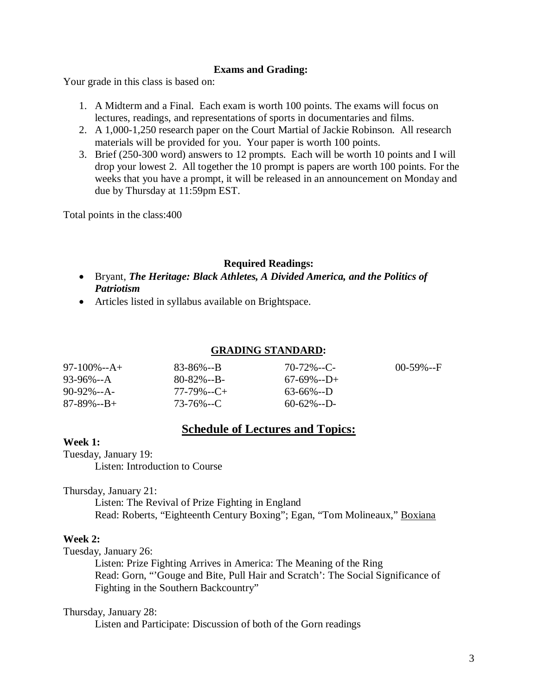## **Exams and Grading:**

Your grade in this class is based on:

- 1. A Midterm and a Final. Each exam is worth 100 points. The exams will focus on lectures, readings, and representations of sports in documentaries and films.
- 2. A 1,000-1,250 research paper on the Court Martial of Jackie Robinson. All research materials will be provided for you. Your paper is worth 100 points.
- 3. Brief (250-300 word) answers to 12 prompts. Each will be worth 10 points and I will drop your lowest 2. All together the 10 prompt is papers are worth 100 points. For the weeks that you have a prompt, it will be released in an announcement on Monday and due by Thursday at 11:59pm EST.

Total points in the class:400

## **Required Readings:**

- Bryant, *The Heritage: Black Athletes, A Divided America, and the Politics of Patriotism*
- Articles listed in syllabus available on Brightspace.

## **GRADING STANDARD:**

| $97-100\% - A +$  | 83-86%--B       | $70 - 72\% - C$ | $00-59\% - F$ |
|-------------------|-----------------|-----------------|---------------|
| 93-96%--A         | $80 - 82\% - B$ | $67-69\% - D+$  |               |
| $90-92\% - A$     | $77-79\% - C +$ | $63-66\% - D$   |               |
| $87 - 89\% - B +$ | 73-76%--C       | $60 - 62\% - D$ |               |

# **Schedule of Lectures and Topics:**

#### **Week 1:**

Tuesday, January 19:

Listen: Introduction to Course

Thursday, January 21:

Listen: The Revival of Prize Fighting in England Read: Roberts, "Eighteenth Century Boxing"; Egan, "Tom Molineaux," Boxiana

#### **Week 2:**

Tuesday, January 26:

Listen: Prize Fighting Arrives in America: The Meaning of the Ring Read: Gorn, "'Gouge and Bite, Pull Hair and Scratch': The Social Significance of Fighting in the Southern Backcountry"

#### Thursday, January 28:

Listen and Participate: Discussion of both of the Gorn readings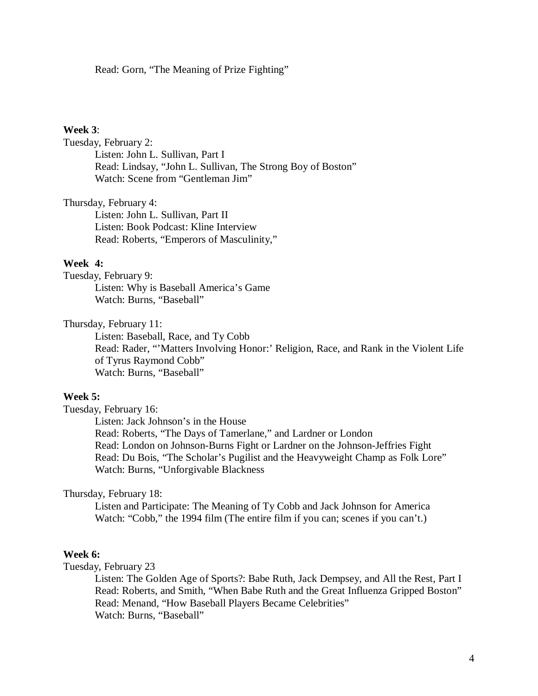Read: Gorn, "The Meaning of Prize Fighting"

#### **Week 3**:

Tuesday, February 2: Listen: John L. Sullivan, Part I Read: Lindsay, "John L. Sullivan, The Strong Boy of Boston" Watch: Scene from "Gentleman Jim"

Thursday, February 4:

Listen: John L. Sullivan, Part II Listen: Book Podcast: Kline Interview Read: Roberts, "Emperors of Masculinity,"

## **Week 4:**

Tuesday, February 9: Listen: Why is Baseball America's Game Watch: Burns, "Baseball"

Thursday, February 11:

Listen: Baseball, Race, and Ty Cobb Read: Rader, "'Matters Involving Honor:' Religion, Race, and Rank in the Violent Life of Tyrus Raymond Cobb" Watch: Burns, "Baseball"

## **Week 5:**

Tuesday, February 16:

Listen: Jack Johnson's in the House Read: Roberts, "The Days of Tamerlane," and Lardner or London Read: London on Johnson-Burns Fight or Lardner on the Johnson-Jeffries Fight Read: Du Bois, "The Scholar's Pugilist and the Heavyweight Champ as Folk Lore" Watch: Burns, "Unforgivable Blackness

#### Thursday, February 18:

Listen and Participate: The Meaning of Ty Cobb and Jack Johnson for America Watch: "Cobb," the 1994 film (The entire film if you can; scenes if you can't.)

#### **Week 6:**

Tuesday, February 23

Listen: The Golden Age of Sports?: Babe Ruth, Jack Dempsey, and All the Rest, Part I Read: Roberts, and Smith, "When Babe Ruth and the Great Influenza Gripped Boston" Read: Menand, "How Baseball Players Became Celebrities" Watch: Burns, "Baseball"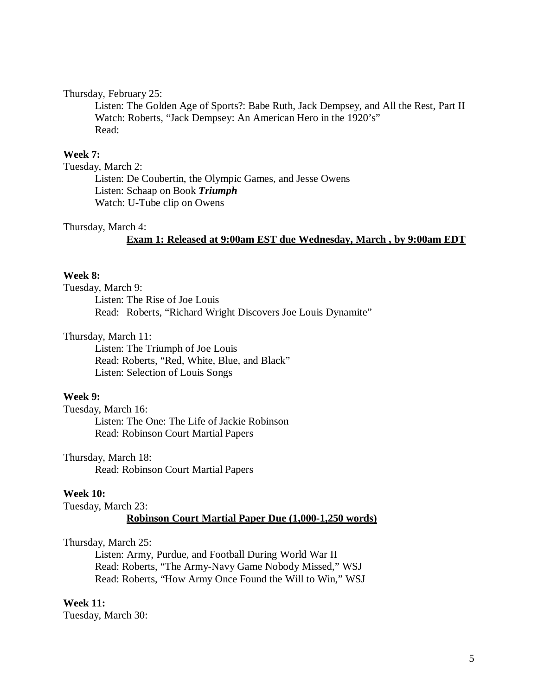#### Thursday, February 25:

Listen: The Golden Age of Sports?: Babe Ruth, Jack Dempsey, and All the Rest, Part II Watch: Roberts, "Jack Dempsey: An American Hero in the 1920's" Read:

#### **Week 7:**

Tuesday, March 2:

Listen: De Coubertin, the Olympic Games, and Jesse Owens Listen: Schaap on Book *Triumph*  Watch: U-Tube clip on Owens

#### Thursday, March 4:

#### **Exam 1: Released at 9:00am EST due Wednesday, March , by 9:00am EDT**

## **Week 8:**

Tuesday, March 9: Listen: The Rise of Joe Louis Read: Roberts, "Richard Wright Discovers Joe Louis Dynamite"

#### Thursday, March 11:

Listen: The Triumph of Joe Louis Read: Roberts, "Red, White, Blue, and Black" Listen: Selection of Louis Songs

## **Week 9:**

Tuesday, March 16: Listen: The One: The Life of Jackie Robinson Read: Robinson Court Martial Papers

Thursday, March 18: Read: Robinson Court Martial Papers

#### **Week 10:**

Tuesday, March 23:

#### **Robinson Court Martial Paper Due (1,000-1,250 words)**

#### Thursday, March 25:

Listen: Army, Purdue, and Football During World War II Read: Roberts, "The Army-Navy Game Nobody Missed," WSJ Read: Roberts, "How Army Once Found the Will to Win," WSJ

#### **Week 11:**

Tuesday, March 30: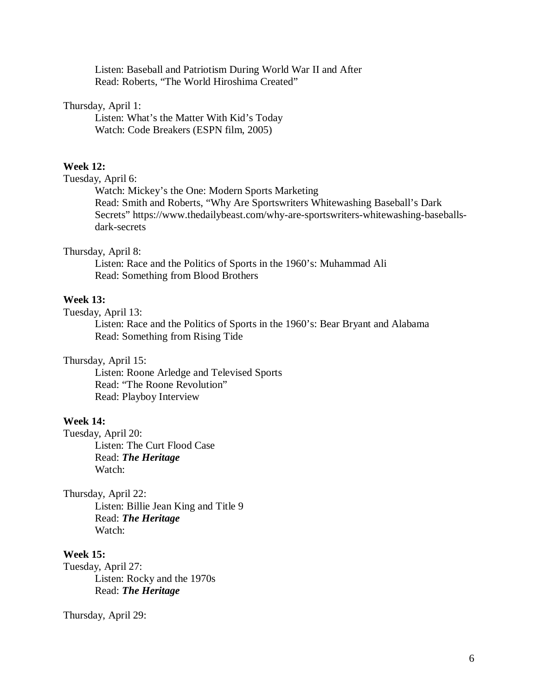Listen: Baseball and Patriotism During World War II and After Read: Roberts, "The World Hiroshima Created"

## Thursday, April 1:

Listen: What's the Matter With Kid's Today Watch: Code Breakers (ESPN film, 2005)

## **Week 12:**

## Tuesday, April 6:

Watch: Mickey's the One: Modern Sports Marketing Read: Smith and Roberts, "Why Are Sportswriters Whitewashing Baseball's Dark Secrets" https://www.thedailybeast.com/why-are-sportswriters-whitewashing-baseballsdark-secrets

## Thursday, April 8:

Listen: Race and the Politics of Sports in the 1960's: Muhammad Ali Read: Something from Blood Brothers

## **Week 13:**

#### Tuesday, April 13:

Listen: Race and the Politics of Sports in the 1960's: Bear Bryant and Alabama Read: Something from Rising Tide

#### Thursday, April 15:

Listen: Roone Arledge and Televised Sports Read: "The Roone Revolution" Read: Playboy Interview

#### **Week 14:**

Tuesday, April 20: Listen: The Curt Flood Case Read: *The Heritage* Watch:

#### Thursday, April 22:

Listen: Billie Jean King and Title 9 Read: *The Heritage* Watch:

#### **Week 15:**

Tuesday, April 27: Listen: Rocky and the 1970s Read: *The Heritage*

Thursday, April 29: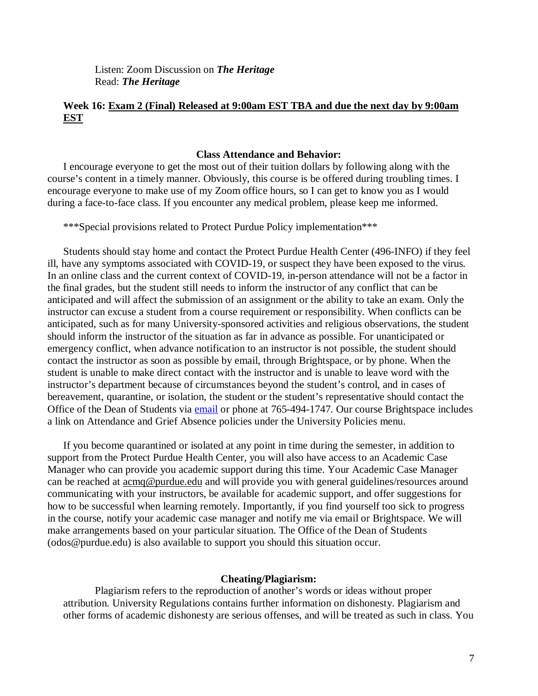Listen: Zoom Discussion on *The Heritage* Read: *The Heritage*

# **Week 16: Exam 2 (Final) Released at 9:00am EST TBA and due the next day by 9:00am EST**

#### **Class Attendance and Behavior:**

I encourage everyone to get the most out of their tuition dollars by following along with the course's content in a timely manner. Obviously, this course is be offered during troubling times. I encourage everyone to make use of my Zoom office hours, so I can get to know you as I would during a face-to-face class. If you encounter any medical problem, please keep me informed.

\*\*\*Special provisions related to Protect Purdue Policy implementation\*\*\*

Students should stay home and contact the Protect Purdue Health Center (496-INFO) if they feel ill, have any symptoms associated with COVID-19, or suspect they have been exposed to the virus*.*  In an online class and the current context of COVID-19, in-person attendance will not be a factor in the final grades, but the student still needs to inform the instructor of any conflict that can be anticipated and will affect the submission of an assignment or the ability to take an exam. Only the instructor can excuse a student from a course requirement or responsibility. When conflicts can be anticipated, such as for many University-sponsored activities and religious observations, the student should inform the instructor of the situation as far in advance as possible. For unanticipated or emergency conflict, when advance notification to an instructor is not possible, the student should contact the instructor as soon as possible by email, through Brightspace, or by phone. When the student is unable to make direct contact with the instructor and is unable to leave word with the instructor's department because of circumstances beyond the student's control, and in cases of bereavement, quarantine, or isolation, the student or the student's representative should contact the Office of the Dean of Students via [email](mailto:odos@purdue.edu%20?subject=Student%20Bereavement%20Needs) or phone at 765-494-1747. Our course Brightspace includes a link on Attendance and Grief Absence policies under the University Policies menu.

If you become quarantined or isolated at any point in time during the semester, in addition to support from the Protect Purdue Health Center, you will also have access to an Academic Case Manager who can provide you academic support during this time. Your Academic Case Manager can be reached at  $\frac{\text{acmq}\omega_{\text{purdue.edu}}}{\text{and}}$  and will provide you with general guidelines/resources around communicating with your instructors, be available for academic support, and offer suggestions for how to be successful when learning remotely. Importantly, if you find yourself too sick to progress in the course, notify your academic case manager and notify me via email or Brightspace. We will make arrangements based on your particular situation. The Office of the Dean of Students (odos@purdue.edu) is also available to support you should this situation occur.

#### **Cheating/Plagiarism:**

Plagiarism refers to the reproduction of another's words or ideas without proper attribution. University Regulations contains further information on dishonesty. Plagiarism and other forms of academic dishonesty are serious offenses, and will be treated as such in class. You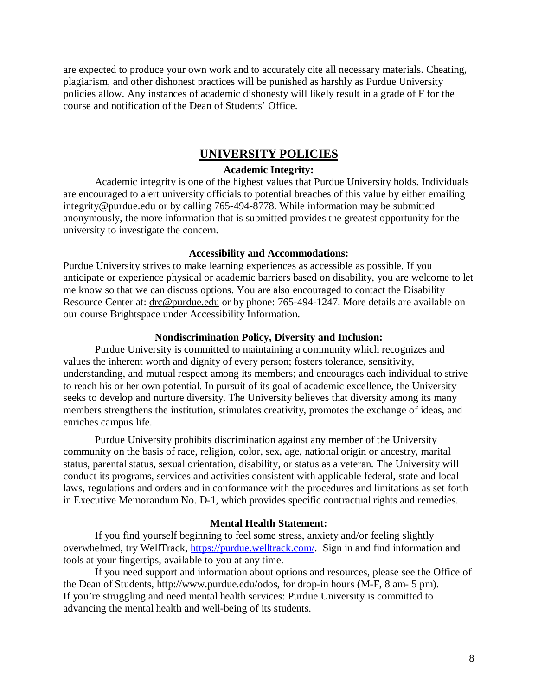are expected to produce your own work and to accurately cite all necessary materials. Cheating, plagiarism, and other dishonest practices will be punished as harshly as Purdue University policies allow. Any instances of academic dishonesty will likely result in a grade of F for the course and notification of the Dean of Students' Office.

# **UNIVERSITY POLICIES**

## **Academic Integrity:**

Academic integrity is one of the highest values that Purdue University holds. Individuals are encouraged to alert university officials to potential breaches of this value by either emailing integrity@purdue.edu or by calling 765-494-8778. While information may be submitted anonymously, the more information that is submitted provides the greatest opportunity for the university to investigate the concern.

#### **Accessibility and Accommodations:**

Purdue University strives to make learning experiences as accessible as possible. If you anticipate or experience physical or academic barriers based on disability, you are welcome to let me know so that we can discuss options. You are also encouraged to contact the Disability Resource Center at: [drc@purdue.edu](mailto:drc@purdue.edu) or by phone: 765-494-1247. More details are available on our course Brightspace under Accessibility Information.

#### **Nondiscrimination Policy, Diversity and Inclusion:**

Purdue University is committed to maintaining a community which recognizes and values the inherent worth and dignity of every person; fosters tolerance, sensitivity, understanding, and mutual respect among its members; and encourages each individual to strive to reach his or her own potential. In pursuit of its goal of academic excellence, the University seeks to develop and nurture diversity. The University believes that diversity among its many members strengthens the institution, stimulates creativity, promotes the exchange of ideas, and enriches campus life.

Purdue University prohibits discrimination against any member of the University community on the basis of race, religion, color, sex, age, national origin or ancestry, marital status, parental status, sexual orientation, disability, or status as a veteran. The University will conduct its programs, services and activities consistent with applicable federal, state and local laws, regulations and orders and in conformance with the procedures and limitations as set forth in Executive Memorandum No. D-1, which provides specific contractual rights and remedies.

## **Mental Health Statement:**

If you find yourself beginning to feel some stress, anxiety and/or feeling slightly overwhelmed, try WellTrack, [https://purdue.welltrack.com/.](https://purdue.welltrack.com/) Sign in and find information and tools at your fingertips, available to you at any time.

If you need support and information about options and resources, please see the Office of the Dean of Students, http://www.purdue.edu/odos, for drop-in hours (M-F, 8 am- 5 pm). If you're struggling and need mental health services: Purdue University is committed to advancing the mental health and well-being of its students.